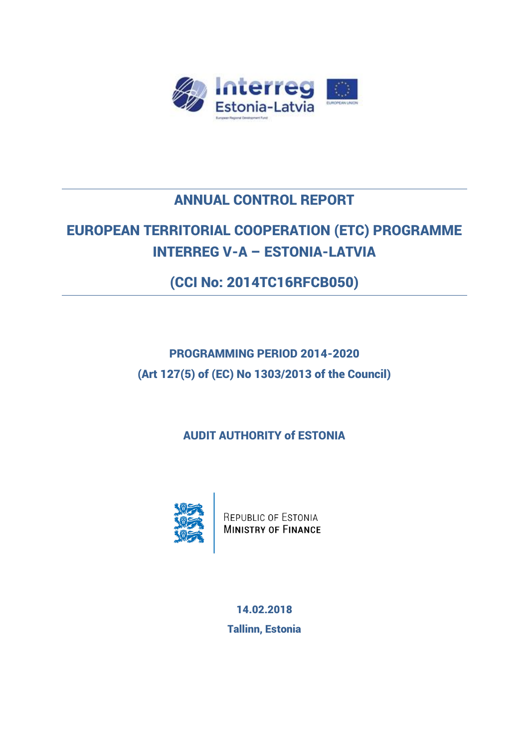

# ANNUAL CONTROL REPORT

# EUROPEAN TERRITORIAL COOPERATION (ETC) PROGRAMME INTERREG V-A – ESTONIA-LATVIA

(CCI No: 2014TC16RFCB050)

PROGRAMMING PERIOD 2014-2020 (Art 127(5) of (EC) No 1303/2013 of the Council)

AUDIT AUTHORITY of ESTONIA



REPUBLIC OF ESTONIA<br>MINISTRY OF FINANCE

14.02.2018 Tallinn, Estonia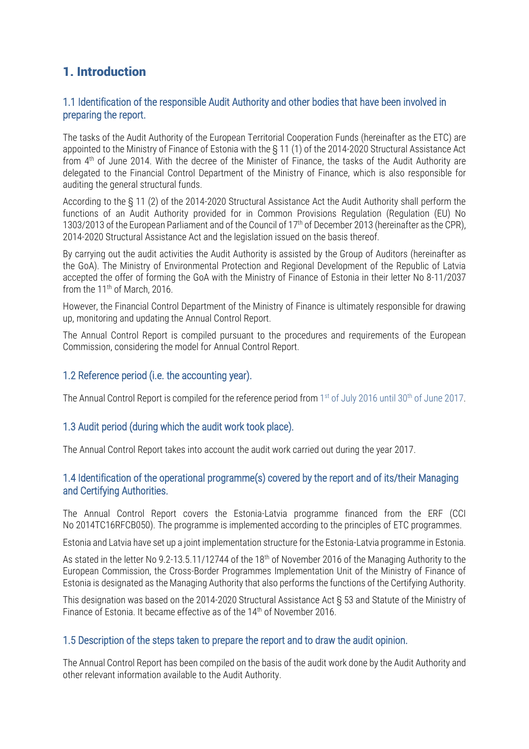### 1. Introduction

#### 1.1 Identification of the responsible Audit Authority and other bodies that have been involved in preparing the report.

The tasks of the Audit Authority of the European Territorial Cooperation Funds (hereinafter as the ETC) are appointed to the Ministry of Finance of Estonia with the § 11 (1) of the 2014-2020 Structural Assistance Act from 4th of June 2014. With the decree of the Minister of Finance, the tasks of the Audit Authority are delegated to the Financial Control Department of the Ministry of Finance, which is also responsible for auditing the general structural funds.

According to the § 11 (2) of the 2014-2020 Structural Assistance Act the Audit Authority shall perform the functions of an Audit Authority provided for in Common Provisions Regulation (Regulation (EU) No 1303/2013 of the European Parliament and of the Council of 17<sup>th</sup> of December 2013 (hereinafter as the CPR), 2014-2020 Structural Assistance Act and the legislation issued on the basis thereof.

By carrying out the audit activities the Audit Authority is assisted by the Group of Auditors (hereinafter as the GoA). The Ministry of Environmental Protection and Regional Development of the Republic of Latvia accepted the offer of forming the GoA with the Ministry of Finance of Estonia in their letter No 8-11/2037 from the  $11<sup>th</sup>$  of March, 2016.

However, the Financial Control Department of the Ministry of Finance is ultimately responsible for drawing up, monitoring and updating the Annual Control Report.

The Annual Control Report is compiled pursuant to the procedures and requirements of the European Commission, considering the model for Annual Control Report.

#### 1.2 Reference period (i.e. the accounting year).

The Annual Control Report is compiled for the reference period from 1<sup>st</sup> of July 2016 until 30<sup>th</sup> of June 2017.

#### 1.3 Audit period (during which the audit work took place).

The Annual Control Report takes into account the audit work carried out during the year 2017.

#### 1.4 Identification of the operational programme(s) covered by the report and of its/their Managing and Certifying Authorities.

The Annual Control Report covers the Estonia-Latvia programme financed from the ERF (CCI No 2014TC16RFCB050). The programme is implemented according to the principles of ETC programmes.

Estonia and Latvia have set up a joint implementation structure for the Estonia-Latvia programme in Estonia.

As stated in the letter No 9.2-13.5.11/12744 of the 18<sup>th</sup> of November 2016 of the Managing Authority to the European Commission, the Cross-Border Programmes Implementation Unit of the Ministry of Finance of Estonia is designated as the Managing Authority that also performs the functions of the Certifying Authority.

This designation was based on the 2014-2020 Structural Assistance Act § 53 and Statute of the Ministry of Finance of Estonia. It became effective as of the 14th of November 2016.

#### 1.5 Description of the steps taken to prepare the report and to draw the audit opinion.

The Annual Control Report has been compiled on the basis of the audit work done by the Audit Authority and other relevant information available to the Audit Authority.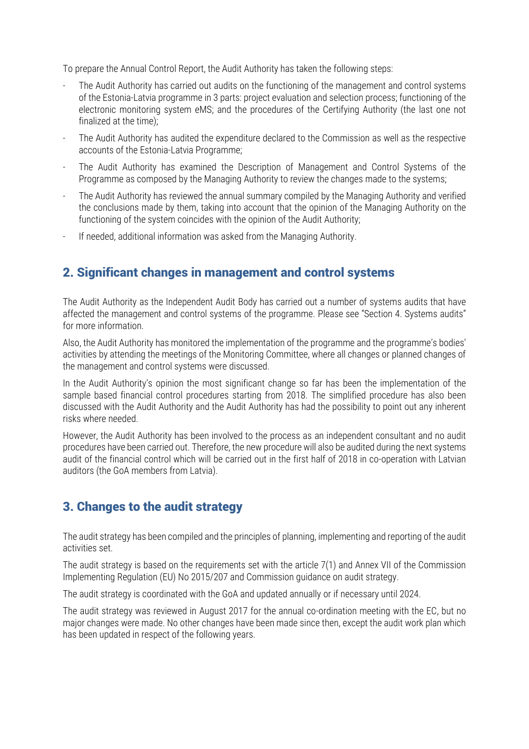To prepare the Annual Control Report, the Audit Authority has taken the following steps:

- The Audit Authority has carried out audits on the functioning of the management and control systems of the Estonia-Latvia programme in 3 parts: project evaluation and selection process; functioning of the electronic monitoring system eMS; and the procedures of the Certifying Authority (the last one not finalized at the time);
- The Audit Authority has audited the expenditure declared to the Commission as well as the respective accounts of the Estonia-Latvia Programme;
- The Audit Authority has examined the Description of Management and Control Systems of the Programme as composed by the Managing Authority to review the changes made to the systems;
- The Audit Authority has reviewed the annual summary compiled by the Managing Authority and verified the conclusions made by them, taking into account that the opinion of the Managing Authority on the functioning of the system coincides with the opinion of the Audit Authority;
- If needed, additional information was asked from the Managing Authority.

### 2. Significant changes in management and control systems

The Audit Authority as the Independent Audit Body has carried out a number of systems audits that have affected the management and control systems of the programme. Please see "Section 4. Systems audits" for more information.

Also, the Audit Authority has monitored the implementation of the programme and the programme's bodies' activities by attending the meetings of the Monitoring Committee, where all changes or planned changes of the management and control systems were discussed.

In the Audit Authority's opinion the most significant change so far has been the implementation of the sample based financial control procedures starting from 2018. The simplified procedure has also been discussed with the Audit Authority and the Audit Authority has had the possibility to point out any inherent risks where needed.

However, the Audit Authority has been involved to the process as an independent consultant and no audit procedures have been carried out. Therefore, the new procedure will also be audited during the next systems audit of the financial control which will be carried out in the first half of 2018 in co-operation with Latvian auditors (the GoA members from Latvia).

### 3. Changes to the audit strategy

The audit strategy has been compiled and the principles of planning, implementing and reporting of the audit activities set.

The audit strategy is based on the requirements set with the article 7(1) and Annex VII of the Commission Implementing Regulation (EU) No 2015/207 and Commission guidance on audit strategy.

The audit strategy is coordinated with the GoA and updated annually or if necessary until 2024.

The audit strategy was reviewed in August 2017 for the annual co-ordination meeting with the EC, but no major changes were made. No other changes have been made since then, except the audit work plan which has been updated in respect of the following years.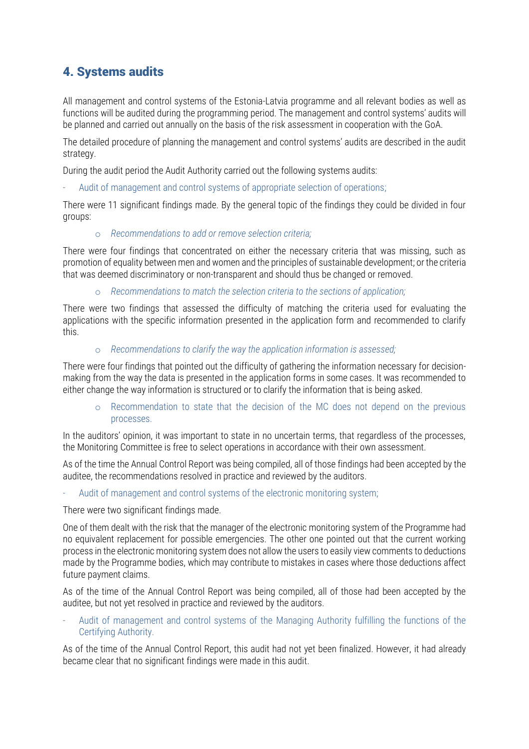### 4. Systems audits

All management and control systems of the Estonia-Latvia programme and all relevant bodies as well as functions will be audited during the programming period. The management and control systems' audits will be planned and carried out annually on the basis of the risk assessment in cooperation with the GoA.

The detailed procedure of planning the management and control systems' audits are described in the audit strategy.

During the audit period the Audit Authority carried out the following systems audits:

Audit of management and control systems of appropriate selection of operations;

There were 11 significant findings made. By the general topic of the findings they could be divided in four groups:

#### o *Recommendations to add or remove selection criteria;*

There were four findings that concentrated on either the necessary criteria that was missing, such as promotion of equality between men and women and the principles of sustainable development; or the criteria that was deemed discriminatory or non-transparent and should thus be changed or removed.

o *Recommendations to match the selection criteria to the sections of application;*

There were two findings that assessed the difficulty of matching the criteria used for evaluating the applications with the specific information presented in the application form and recommended to clarify this.

o *Recommendations to clarify the way the application information is assessed;*

There were four findings that pointed out the difficulty of gathering the information necessary for decisionmaking from the way the data is presented in the application forms in some cases. It was recommended to either change the way information is structured or to clarify the information that is being asked.

o Recommendation to state that the decision of the MC does not depend on the previous processes.

In the auditors' opinion, it was important to state in no uncertain terms, that regardless of the processes, the Monitoring Committee is free to select operations in accordance with their own assessment.

As of the time the Annual Control Report was being compiled, all of those findings had been accepted by the auditee, the recommendations resolved in practice and reviewed by the auditors.

Audit of management and control systems of the electronic monitoring system;

There were two significant findings made.

One of them dealt with the risk that the manager of the electronic monitoring system of the Programme had no equivalent replacement for possible emergencies. The other one pointed out that the current working process in the electronic monitoring system does not allow the users to easily view comments to deductions made by the Programme bodies, which may contribute to mistakes in cases where those deductions affect future payment claims.

As of the time of the Annual Control Report was being compiled, all of those had been accepted by the auditee, but not yet resolved in practice and reviewed by the auditors.

Audit of management and control systems of the Managing Authority fulfilling the functions of the Certifying Authority.

As of the time of the Annual Control Report, this audit had not yet been finalized. However, it had already became clear that no significant findings were made in this audit.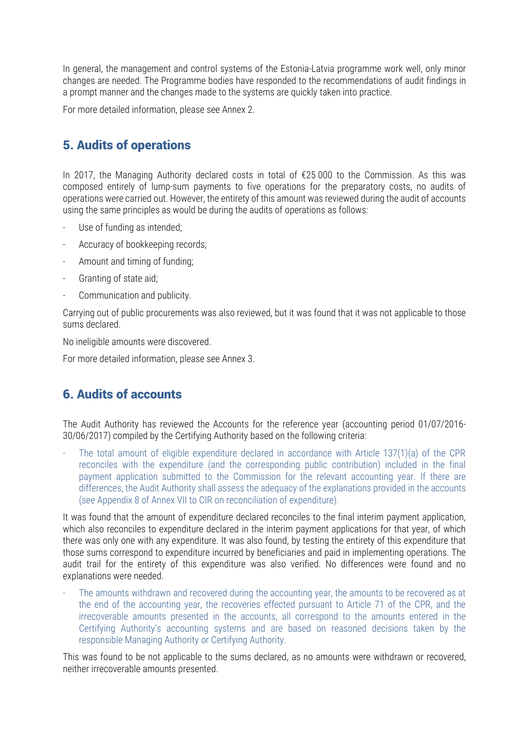In general, the management and control systems of the Estonia-Latvia programme work well, only minor changes are needed. The Programme bodies have responded to the recommendations of audit findings in a prompt manner and the changes made to the systems are quickly taken into practice.

For more detailed information, please see Annex 2.

### 5. Audits of operations

In 2017, the Managing Authority declared costs in total of €25 000 to the Commission. As this was composed entirely of lump-sum payments to five operations for the preparatory costs, no audits of operations were carried out. However, the entirety of this amount was reviewed during the audit of accounts using the same principles as would be during the audits of operations as follows:

- Use of funding as intended;
- Accuracy of bookkeeping records;
- Amount and timing of funding;
- Granting of state aid;
- Communication and publicity.

Carrying out of public procurements was also reviewed, but it was found that it was not applicable to those sums declared.

No ineligible amounts were discovered.

For more detailed information, please see Annex 3.

### 6. Audits of accounts

The Audit Authority has reviewed the Accounts for the reference year (accounting period 01/07/2016- 30/06/2017) compiled by the Certifying Authority based on the following criteria:

The total amount of eligible expenditure declared in accordance with Article 137(1)(a) of the CPR reconciles with the expenditure (and the corresponding public contribution) included in the final payment application submitted to the Commission for the relevant accounting year. If there are differences, the Audit Authority shall assess the adequacy of the explanations provided in the accounts (see Appendix 8 of Annex VII to CIR on reconciliation of expenditure).

It was found that the amount of expenditure declared reconciles to the final interim payment application, which also reconciles to expenditure declared in the interim payment applications for that year, of which there was only one with any expenditure. It was also found, by testing the entirety of this expenditure that those sums correspond to expenditure incurred by beneficiaries and paid in implementing operations. The audit trail for the entirety of this expenditure was also verified. No differences were found and no explanations were needed.

The amounts withdrawn and recovered during the accounting year, the amounts to be recovered as at the end of the accounting year, the recoveries effected pursuant to Article 71 of the CPR, and the irrecoverable amounts presented in the accounts, all correspond to the amounts entered in the Certifying Authority's accounting systems and are based on reasoned decisions taken by the responsible Managing Authority or Certifying Authority.

This was found to be not applicable to the sums declared, as no amounts were withdrawn or recovered, neither irrecoverable amounts presented.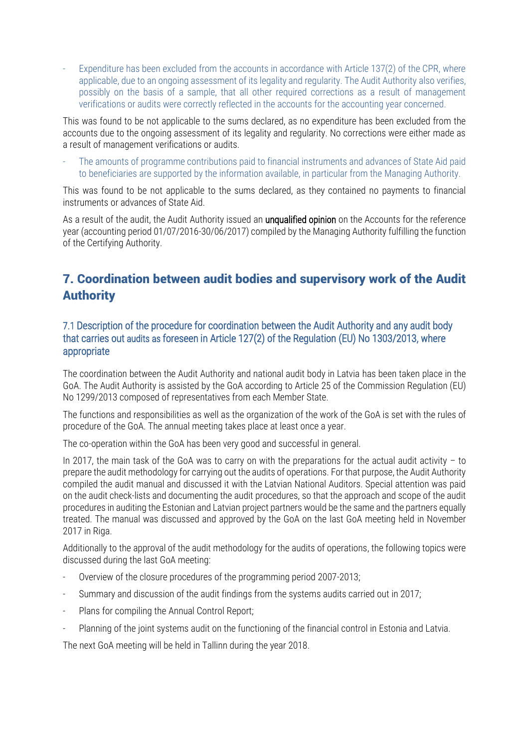Expenditure has been excluded from the accounts in accordance with Article 137(2) of the CPR, where applicable, due to an ongoing assessment of its legality and regularity. The Audit Authority also verifies, possibly on the basis of a sample, that all other required corrections as a result of management verifications or audits were correctly reflected in the accounts for the accounting year concerned.

This was found to be not applicable to the sums declared, as no expenditure has been excluded from the accounts due to the ongoing assessment of its legality and regularity. No corrections were either made as a result of management verifications or audits.

- The amounts of programme contributions paid to financial instruments and advances of State Aid paid to beneficiaries are supported by the information available, in particular from the Managing Authority.

This was found to be not applicable to the sums declared, as they contained no payments to financial instruments or advances of State Aid.

As a result of the audit, the Audit Authority issued an **unqualified opinion** on the Accounts for the reference year (accounting period 01/07/2016-30/06/2017) compiled by the Managing Authority fulfilling the function of the Certifying Authority.

### 7. Coordination between audit bodies and supervisory work of the Audit Authority

#### 7.1 Description of the procedure for coordination between the Audit Authority and any audit body that carries out audits as foreseen in Article 127(2) of the Regulation (EU) No 1303/2013, where appropriate

The coordination between the Audit Authority and national audit body in Latvia has been taken place in the GoA. The Audit Authority is assisted by the GoA according to Article 25 of the Commission Regulation (EU) No 1299/2013 composed of representatives from each Member State.

The functions and responsibilities as well as the organization of the work of the GoA is set with the rules of procedure of the GoA. The annual meeting takes place at least once a year.

The co-operation within the GoA has been very good and successful in general.

In 2017, the main task of the GoA was to carry on with the preparations for the actual audit activity - to prepare the audit methodology for carrying out the audits of operations. For that purpose, the Audit Authority compiled the audit manual and discussed it with the Latvian National Auditors. Special attention was paid on the audit check-lists and documenting the audit procedures, so that the approach and scope of the audit procedures in auditing the Estonian and Latvian project partners would be the same and the partners equally treated. The manual was discussed and approved by the GoA on the last GoA meeting held in November 2017 in Riga.

Additionally to the approval of the audit methodology for the audits of operations, the following topics were discussed during the last GoA meeting:

- Overview of the closure procedures of the programming period 2007-2013;
- Summary and discussion of the audit findings from the systems audits carried out in 2017;
- Plans for compiling the Annual Control Report;
- Planning of the joint systems audit on the functioning of the financial control in Estonia and Latvia.

The next GoA meeting will be held in Tallinn during the year 2018.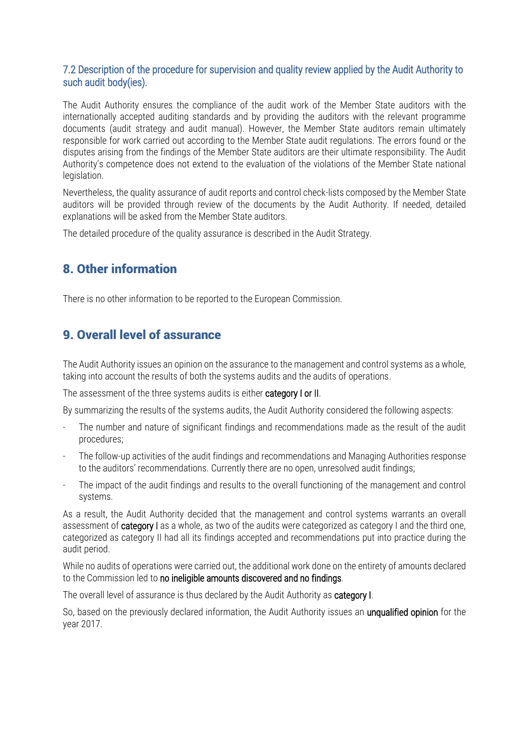#### 7.2 Description of the procedure for supervision and quality review applied by the Audit Authority to such audit body(ies).

The Audit Authority ensures the compliance of the audit work of the Member State auditors with the internationally accepted auditing standards and by providing the auditors with the relevant programme documents (audit strategy and audit manual). However, the Member State auditors remain ultimately responsible for work carried out according to the Member State audit regulations. The errors found or the disputes arising from the findings of the Member State auditors are their ultimate responsibility. The Audit Authority's competence does not extend to the evaluation of the violations of the Member State national legislation.

Nevertheless, the quality assurance of audit reports and control check-lists composed by the Member State auditors will be provided through review of the documents by the Audit Authority. If needed, detailed explanations will be asked from the Member State auditors.

The detailed procedure of the quality assurance is described in the Audit Strategy.

### 8. Other information

There is no other information to be reported to the European Commission.

#### 9. Overall level of assurance

The Audit Authority issues an opinion on the assurance to the management and control systems as a whole, taking into account the results of both the systems audits and the audits of operations.

The assessment of the three systems audits is either category I or II.

By summarizing the results of the systems audits, the Audit Authority considered the following aspects:

- The number and nature of significant findings and recommendations made as the result of the audit procedures;
- The follow-up activities of the audit findings and recommendations and Managing Authorities response to the auditors' recommendations. Currently there are no open, unresolved audit findings;
- The impact of the audit findings and results to the overall functioning of the management and control systems.

As a result, the Audit Authority decided that the management and control systems warrants an overall assessment of **category** I as a whole, as two of the audits were categorized as category I and the third one, categorized as category II had all its findings accepted and recommendations put into practice during the audit period.

While no audits of operations were carried out, the additional work done on the entirety of amounts declared to the Commission led to no ineligible amounts discovered and no findings.

The overall level of assurance is thus declared by the Audit Authority as category I.

So, based on the previously declared information, the Audit Authority issues an **unqualified opinion** for the year 2017.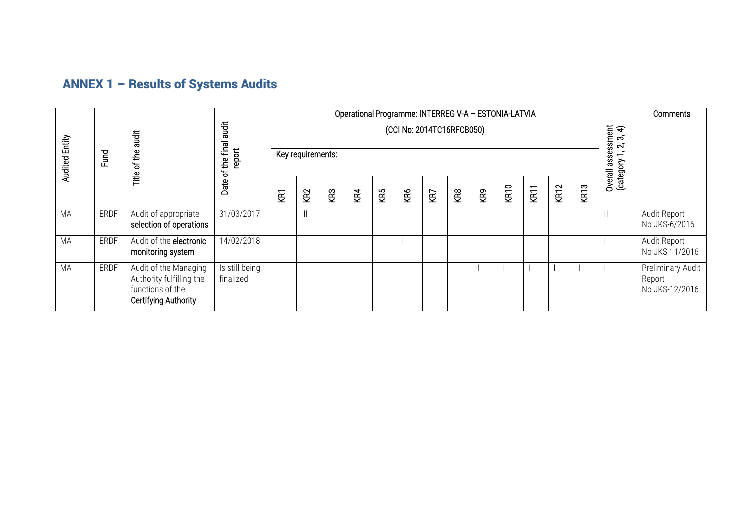# ANNEX 1 – Results of Systems Audits

|                       |             |                                                                                               |                                                                    | Operational Programme: INTERREG V-A - ESTONIA-LATVIA |                                       |     |     |     |     |     |     |     |      |                                                                      | Comments    |                  |         |                                               |
|-----------------------|-------------|-----------------------------------------------------------------------------------------------|--------------------------------------------------------------------|------------------------------------------------------|---------------------------------------|-----|-----|-----|-----|-----|-----|-----|------|----------------------------------------------------------------------|-------------|------------------|---------|-----------------------------------------------|
| <b>Audited Entity</b> | Fund        | <b>Tigues</b><br>$\frac{e}{\hbar}$<br>$\mathbf{r}$<br>Title                                   | <b>audit</b><br>the final<br>report<br>$\overline{\sigma}$<br>Date | (CCI No: 2014TC16RFCB050)<br>Key requirements:       |                                       |     |     |     |     |     |     |     |      | ssment<br>$\triangleleft$<br>ကဲ<br>$\mathbf{r}$<br>asse<br>(category |             |                  |         |                                               |
|                       |             |                                                                                               |                                                                    | ξă                                                   | KR <sub>2</sub>                       | KR3 | KR4 | KR5 | KR6 | KR7 | KR8 | KR9 | KR10 | KR11                                                                 | <b>KR12</b> | KR <sub>13</sub> | Overall |                                               |
| MA                    | <b>ERDF</b> | Audit of appropriate<br>selection of operations                                               | 31/03/2017                                                         |                                                      | $\begin{array}{c} \hline \end{array}$ |     |     |     |     |     |     |     |      |                                                                      |             |                  |         | Audit Report<br>No JKS-6/2016                 |
| MA                    | <b>ERDF</b> | Audit of the electronic<br>monitoring system                                                  | 14/02/2018                                                         |                                                      |                                       |     |     |     |     |     |     |     |      |                                                                      |             |                  |         | Audit Report<br>No JKS-11/2016                |
| MA                    | ERDF        | Audit of the Managing<br>Authority fulfilling the<br>functions of the<br>Certifying Authority | Is still being<br>finalized                                        |                                                      |                                       |     |     |     |     |     |     |     |      |                                                                      |             |                  |         | Preliminary Audit<br>Report<br>No JKS-12/2016 |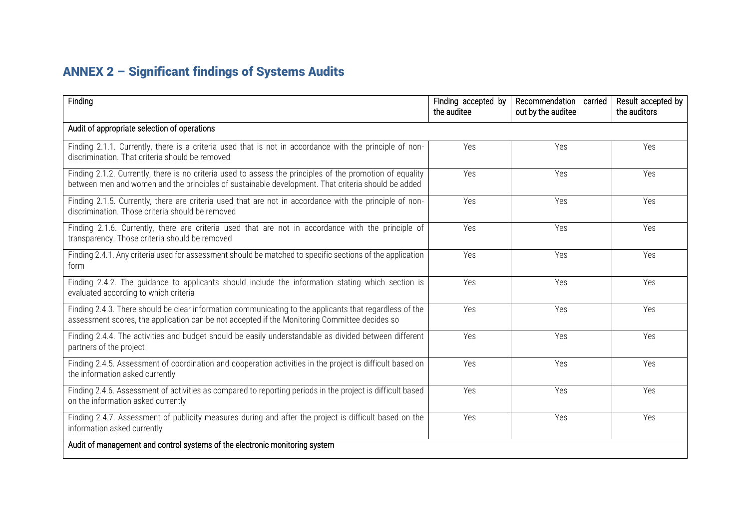# ANNEX 2 – Significant findings of Systems Audits

| Finding                                                                                                                                                                                                         | Finding accepted by<br>the auditee | Recommendation carried<br>out by the auditee | Result accepted by<br>the auditors |
|-----------------------------------------------------------------------------------------------------------------------------------------------------------------------------------------------------------------|------------------------------------|----------------------------------------------|------------------------------------|
| Audit of appropriate selection of operations                                                                                                                                                                    |                                    |                                              |                                    |
| Finding 2.1.1. Currently, there is a criteria used that is not in accordance with the principle of non-<br>discrimination. That criteria should be removed                                                      | Yes                                | Yes                                          | Yes                                |
| Finding 2.1.2. Currently, there is no criteria used to assess the principles of the promotion of equality<br>between men and women and the principles of sustainable development. That criteria should be added | Yes                                | Yes                                          | Yes                                |
| Finding 2.1.5. Currently, there are criteria used that are not in accordance with the principle of non-<br>discrimination. Those criteria should be removed                                                     | Yes                                | Yes                                          | Yes                                |
| Finding 2.1.6. Currently, there are criteria used that are not in accordance with the principle of<br>transparency. Those criteria should be removed                                                            | Yes                                | Yes                                          | Yes                                |
| Finding 2.4.1. Any criteria used for assessment should be matched to specific sections of the application<br>form                                                                                               | Yes                                | Yes                                          | Yes                                |
| Finding 2.4.2. The quidance to applicants should include the information stating which section is<br>evaluated according to which criteria                                                                      | Yes                                | Yes                                          | Yes                                |
| Finding 2.4.3. There should be clear information communicating to the applicants that regardless of the<br>assessment scores, the application can be not accepted if the Monitoring Committee decides so        | Yes                                | Yes                                          | Yes                                |
| Finding 2.4.4. The activities and budget should be easily understandable as divided between different<br>partners of the project                                                                                | Yes                                | Yes                                          | Yes                                |
| Finding 2.4.5. Assessment of coordination and cooperation activities in the project is difficult based on<br>the information asked currently                                                                    | Yes                                | Yes                                          | Yes                                |
| Finding 2.4.6. Assessment of activities as compared to reporting periods in the project is difficult based<br>on the information asked currently                                                                | Yes                                | Yes                                          | Yes                                |
| Finding 2.4.7. Assessment of publicity measures during and after the project is difficult based on the<br>information asked currently                                                                           | Yes                                | Yes                                          | Yes                                |
| Audit of management and control systems of the electronic monitoring system                                                                                                                                     |                                    |                                              |                                    |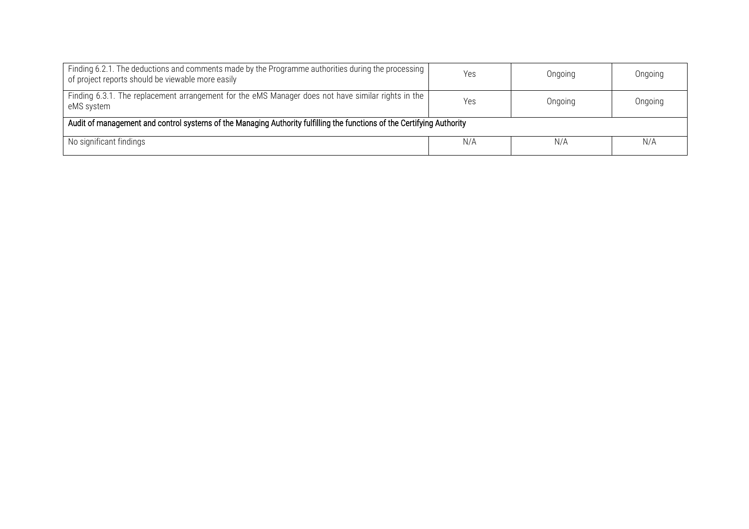| Finding 6.2.1. The deductions and comments made by the Programme authorities during the processing<br>of project reports should be viewable more easily | Yes | Ongoing | Ongoing |  |  |  |  |
|---------------------------------------------------------------------------------------------------------------------------------------------------------|-----|---------|---------|--|--|--|--|
| Finding 6.3.1. The replacement arrangement for the eMS Manager does not have similar rights in the<br>eMS system                                        | Yes | Ongoing | Ongoing |  |  |  |  |
| Audit of management and control systems of the Managing Authority fulfilling the functions of the Certifying Authority                                  |     |         |         |  |  |  |  |
| No significant findings                                                                                                                                 | N/A | N/A     | N/A     |  |  |  |  |